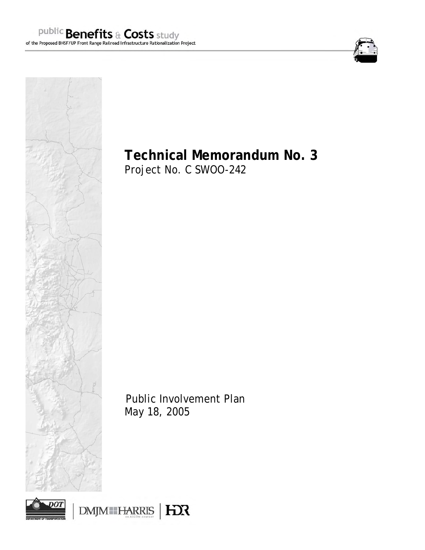





# **Technical Memorandum No. 3**

Project No. C SWOO-242

Public Involvement Plan May 18, 2005

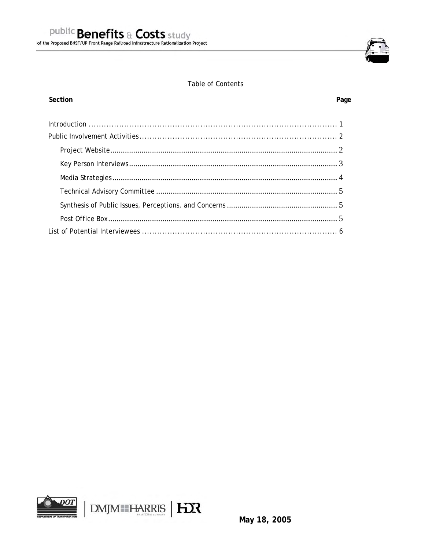

# **Table of Contents**

# Section

# Page

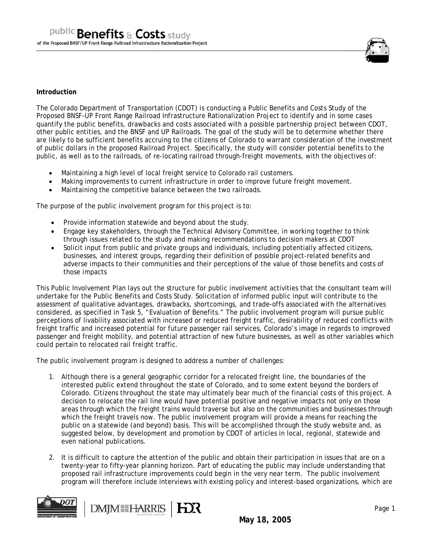

## **Introduction**

The Colorado Department of Transportation (CDOT) is conducting a Public Benefits and Costs Study of the Proposed BNSF-UP Front Range Railroad Infrastructure Rationalization Project to identify and in some cases quantify the public benefits, drawbacks and costs associated with a possible partnership project between CDOT, other public entities, and the BNSF and UP Railroads. The goal of the study will be to determine whether there are likely to be sufficient benefits accruing to the citizens of Colorado to warrant consideration of the investment of public dollars in the proposed Railroad Project. Specifically, the study will consider potential benefits to the public, as well as to the railroads, of re-locating railroad through-freight movements, with the objectives of:

- Maintaining a high level of local freight service to Colorado rail customers.
- Making improvements to current infrastructure in order to improve future freight movement.
- Maintaining the competitive balance between the two railroads.

The purpose of the public involvement program for this project is to:

- Provide information statewide and beyond about the study.
- Engage key stakeholders, through the Technical Advisory Committee, in working together to think through issues related to the study and making recommendations to decision makers at CDOT
- Solicit input from public and private groups and individuals, including potentially affected citizens, businesses, and interest groups, regarding their definition of possible project-related benefits and adverse impacts to their communities and their perceptions of the value of those benefits and costs of those impacts

This Public Involvement Plan lays out the structure for public involvement activities that the consultant team will undertake for the Public Benefits and Costs Study. Solicitation of informed public input will contribute to the assessment of qualitative advantages, drawbacks, shortcomings, and trade-offs associated with the alternatives considered, as specified in Task 5, "Evaluation of Benefits." The public involvement program will pursue public perceptions of livability associated with increased or reduced freight traffic, desirability of reduced conflicts with freight traffic and increased potential for future passenger rail services, Colorado's image in regards to improved passenger and freight mobility, and potential attraction of new future businesses, as well as other variables which could pertain to relocated rail freight traffic.

The public involvement program is designed to address a number of challenges:

- 1. Although there is a general geographic corridor for a relocated freight line, the boundaries of the interested public extend throughout the state of Colorado, and to some extent beyond the borders of Colorado. Citizens throughout the state may ultimately bear much of the financial costs of this project. A decision to relocate the rail line would have potential positive and negative impacts not only on those areas through which the freight trains would traverse but also on the communities and businesses through which the freight travels now. The public involvement program will provide a means for reaching the public on a statewide (and beyond) basis. This will be accomplished through the study website and, as suggested below, by development and promotion by CDOT of articles in local, regional, statewide and even national publications.
- 2. It is difficult to capture the attention of the public and obtain their participation in issues that are on a twenty-year to fifty-year planning horizon. Part of educating the public may include understanding that proposed rail infrastructure improvements could begin in the very near term. The public involvement program will therefore include interviews with existing policy and interest-based organizations, which are

**EX** 

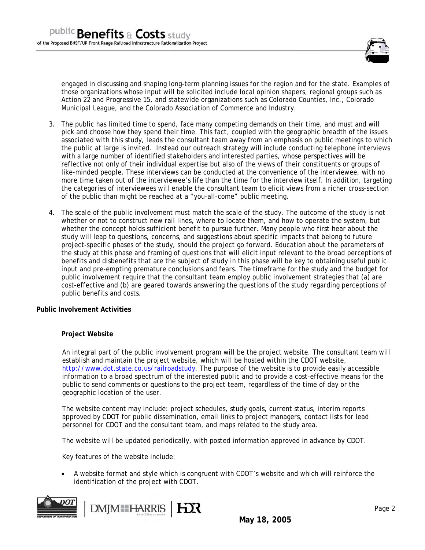

engaged in discussing and shaping long-term planning issues for the region and for the state. Examples of those organizations whose input will be solicited include local opinion shapers, regional groups such as Action 22 and Progressive 15, and statewide organizations such as Colorado Counties, Inc., Colorado Municipal League, and the Colorado Association of Commerce and Industry.

- 3. The public has limited time to spend, face many competing demands on their time, and must and will pick and choose how they spend their time. This fact, coupled with the geographic breadth of the issues associated with this study, leads the consultant team away from an emphasis on public meetings to which the public at large is invited. Instead our outreach strategy will include conducting telephone interviews with a large number of identified stakeholders and interested parties, whose perspectives will be reflective not only of their individual expertise but also of the views of their constituents or groups of like-minded people. These interviews can be conducted at the convenience of the interviewee, with no more time taken out of the interviewee's life than the time for the interview itself. In addition, targeting the categories of interviewees will enable the consultant team to elicit views from a richer cross-section of the public than might be reached at a "you-all-come" public meeting.
- 4. The scale of the public involvement must match the scale of the study. The outcome of the study is not whether or not to construct new rail lines, where to locate them, and how to operate the system, but whether the concept holds sufficient benefit to pursue further. Many people who first hear about the study will leap to questions, concerns, and suggestions about specific impacts that belong to future project-specific phases of the study, should the project go forward. Education about the parameters of the study at this phase and framing of questions that will elicit input relevant to the broad perceptions of benefits and disbenefits that are the subject of study in this phase will be key to obtaining useful public input and pre-empting premature conclusions and fears. The timeframe for the study and the budget for public involvement require that the consultant team employ public involvement strategies that (a) are cost-effective and (b) are geared towards answering the questions of the study regarding perceptions of public benefits and costs.

#### **Public Involvement Activities**

# **Project Website**

An integral part of the public involvement program will be the project website. The consultant team will establish and maintain the project website, which will be hosted within the CDOT website, http://www.dot.state.co.us/railroadstudy. The purpose of the website is to provide easily accessible information to a broad spectrum of the interested public and to provide a cost-effective means for the public to send comments or questions to the project team, regardless of the time of day or the geographic location of the user.

The website content may include: project schedules, study goals, current status, interim reports approved by CDOT for public dissemination, email links to project managers, contact lists for lead personnel for CDOT and the consultant team, and maps related to the study area.

The website will be updated periodically, with posted information approved in advance by CDOT.

Key features of the website include:

• A website format and style which is congruent with CDOT's website and which will reinforce the identification of the project with CDOT.



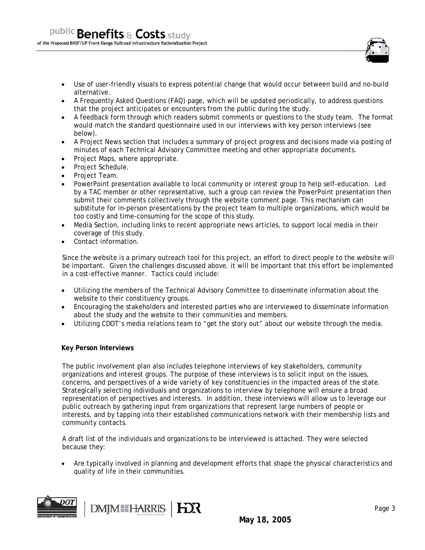

- A Frequently Asked Questions (FAQ) page, which will be updated periodically, to address questions that the project anticipates or encounters from the public during the study.
- A feedback form through which readers submit comments or questions to the study team. The format would match the standard questionnaire used in our interviews with key person interviews (see below).
- A Project News section that includes a summary of project progress and decisions made via posting of minutes of each Technical Advisory Committee meeting and other appropriate documents.
- Project Maps, where appropriate.
- Project Schedule.
- Project Team.
- PowerPoint presentation available to local community or interest group to help self-education. Led by a TAC member or other representative, such a group can review the PowerPoint presentation then submit their comments collectively through the website comment page. This mechanism can substitute for in-person presentations by the project team to multiple organizations, which would be too costly and time-consuming for the scope of this study.
- Media Section, including links to recent appropriate news articles, to support local media in their coverage of this study.
- Contact information.

Since the website is a primary outreach tool for this project, an effort to direct people to the website will be important. Given the challenges discussed above, it will be important that this effort be implemented in a cost-effective manner. Tactics could include:

- Utilizing the members of the Technical Advisory Committee to disseminate information about the website to their constituency groups.
- Encouraging the stakeholders and interested parties who are interviewed to disseminate information about the study and the website to their communities and members.
- Utilizing CDOT's media relations team to "get the story out" about our website through the media.

#### **Key Person Interviews**

The public involvement plan also includes telephone interviews of key stakeholders, community organizations and interest groups. The purpose of these interviews is to solicit input on the issues, concerns, and perspectives of a wide variety of key constituencies in the impacted areas of the state. Strategically selecting individuals and organizations to interview by telephone will ensure a broad representation of perspectives and interests. In addition, these interviews will allow us to leverage our public outreach by gathering input from organizations that represent large numbers of people or interests, and by tapping into their established communications network with their membership lists and community contacts.

A draft list of the individuals and organizations to be interviewed is attached. They were selected because they:

• Are typically involved in planning and development efforts that shape the physical characteristics and quality of life in their communities.



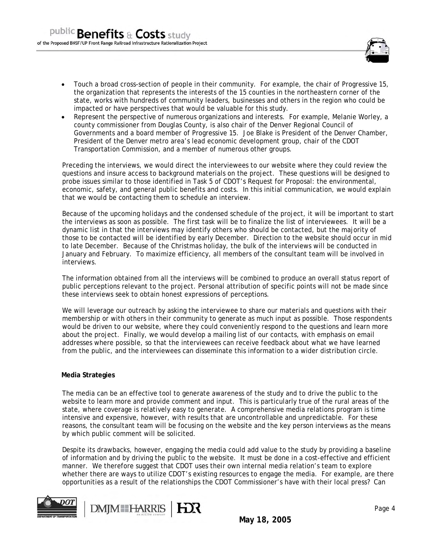

- Touch a broad cross-section of people in their community. For example, the chair of Progressive 15, the organization that represents the interests of the 15 counties in the northeastern corner of the state, works with hundreds of community leaders, businesses and others in the region who could be impacted or have perspectives that would be valuable for this study.
- Represent the perspective of numerous organizations and interests. For example, Melanie Worley, a county commissioner from Douglas County, is also chair of the Denver Regional Council of Governments and a board member of Progressive 15. Joe Blake is President of the Denver Chamber, President of the Denver metro area's lead economic development group, chair of the CDOT Transportation Commission, and a member of numerous other groups.

Preceding the interviews, we would direct the interviewees to our website where they could review the questions and insure access to background materials on the project. These questions will be designed to probe issues similar to those identified in Task 5 of CDOT's Request for Proposal: the environmental, economic, safety, and general public benefits and costs. In this initial communication, we would explain that we would be contacting them to schedule an interview.

Because of the upcoming holidays and the condensed schedule of the project, it will be important to start the interviews as soon as possible. The first task will be to finalize the list of interviewees. It will be a dynamic list in that the interviews may identify others who should be contacted, but the majority of those to be contacted will be identified by early December. Direction to the website should occur in mid to late December. Because of the Christmas holiday, the bulk of the interviews will be conducted in January and February. To maximize efficiency, all members of the consultant team will be involved in interviews.

The information obtained from all the interviews will be combined to produce an overall status report of public perceptions relevant to the project. Personal attribution of specific points will not be made since these interviews seek to obtain honest expressions of perceptions.

We will leverage our outreach by asking the interviewee to share our materials and questions with their membership or with others in their community to generate as much input as possible. Those respondents would be driven to our website, where they could conveniently respond to the questions and learn more about the project. Finally, we would develop a mailing list of our contacts, with emphasis on email addresses where possible, so that the interviewees can receive feedback about what we have learned from the public, and the interviewees can disseminate this information to a wider distribution circle.

#### **Media Strategies**

The media can be an effective tool to generate awareness of the study and to drive the public to the website to learn more and provide comment and input. This is particularly true of the rural areas of the state, where coverage is relatively easy to generate. A comprehensive media relations program is time intensive and expensive, however, with results that are uncontrollable and unpredictable. For these reasons, the consultant team will be focusing on the website and the key person interviews as the means by which public comment will be solicited.

Despite its drawbacks, however, engaging the media could add value to the study by providing a baseline of information and by driving the public to the website. It must be done in a cost-effective and efficient manner. We therefore suggest that CDOT uses their own internal media relation's team to explore whether there are ways to utilize CDOT's existing resources to engage the media. For example, are there opportunities as a result of the relationships the CDOT Commissioner's have with their local press? Can



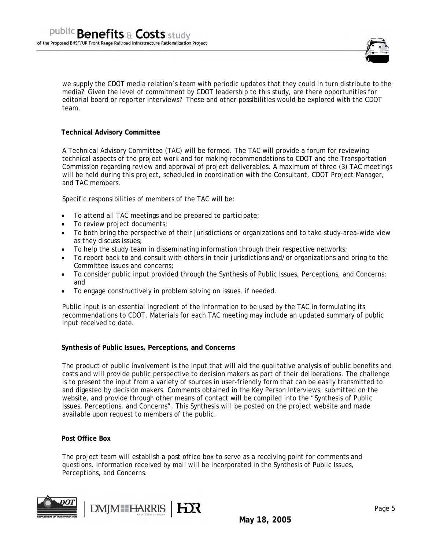

we supply the CDOT media relation's team with periodic updates that they could in turn distribute to the media? Given the level of commitment by CDOT leadership to this study, are there opportunities for editorial board or reporter interviews? These and other possibilities would be explored with the CDOT team.

## **Technical Advisory Committee**

A Technical Advisory Committee (TAC) will be formed. The TAC will provide a forum for reviewing technical aspects of the project work and for making recommendations to CDOT and the Transportation Commission regarding review and approval of project deliverables. A maximum of three (3) TAC meetings will be held during this project, scheduled in coordination with the Consultant, CDOT Project Manager, and TAC members.

Specific responsibilities of members of the TAC will be:

- To attend all TAC meetings and be prepared to participate;
- To review project documents;
- To both bring the perspective of their jurisdictions or organizations and to take study-area-wide view as they discuss issues;
- To help the study team in disseminating information through their respective networks;
- To report back to and consult with others in their jurisdictions and/or organizations and bring to the Committee issues and concerns;
- To consider public input provided through the Synthesis of Public Issues, Perceptions, and Concerns; and
- To engage constructively in problem solving on issues, if needed.

Public input is an essential ingredient of the information to be used by the TAC in formulating its recommendations to CDOT. Materials for each TAC meeting may include an updated summary of public input received to date.

#### **Synthesis of Public Issues, Perceptions, and Concerns**

The product of public involvement is the input that will aid the qualitative analysis of public benefits and costs and will provide public perspective to decision makers as part of their deliberations. The challenge is to present the input from a variety of sources in user-friendly form that can be easily transmitted to and digested by decision makers. Comments obtained in the Key Person Interviews, submitted on the website, and provide through other means of contact will be compiled into the "Synthesis of Public Issues, Perceptions, and Concerns". This Synthesis will be posted on the project website and made available upon request to members of the public.

#### **Post Office Box**

The project team will establish a post office box to serve as a receiving point for comments and questions. Information received by mail will be incorporated in the Synthesis of Public Issues, Perceptions, and Concerns.

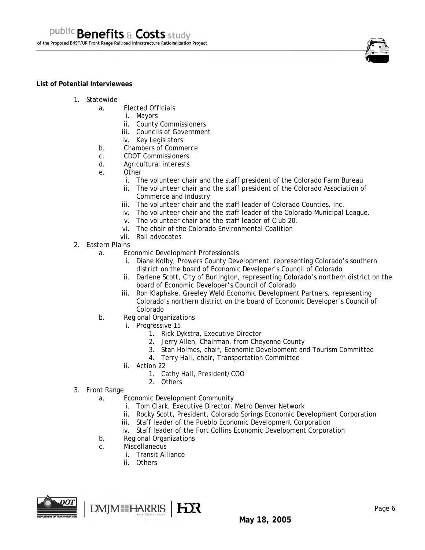#### **List of Potential Interviewees**

- 1. Statewide
	- a. Elected Officials
		- i. Mayors
		- ii. County Commissioners
		- iii. Councils of Government
		- iv. Key Legislators
	- b. Chambers of Commerce
	- c. CDOT Commissioners
	- d. Agricultural interests
	- e. Other
		- i. The volunteer chair and the staff president of the Colorado Farm Bureau
		- ii. The volunteer chair and the staff president of the Colorado Association of Commerce and Industry
		- iii. The volunteer chair and the staff leader of Colorado Counties, Inc.
		- iv. The volunteer chair and the staff leader of the Colorado Municipal League.
		- v. The volunteer chair and the staff leader of Club 20.
		- vi. The chair of the Colorado Environmental Coalition
		- vii. Rail advocates
- 2. Eastern Plains
	- a. Economic Development Professionals
		- i. Diane Kolby, Prowers County Development, representing Colorado's southern district on the board of Economic Developer's Council of Colorado
		- ii. Darlene Scott, City of Burlington, representing Colorado's northern district on the board of Economic Developer's Council of Colorado
		- iii. Ron Klaphake, Greeley Weld Economic Development Partners, representing Colorado's northern district on the board of Economic Developer's Council of Colorado
	- b. Regional Organizations
		- i. Progressive 15
			- 1. Rick Dykstra, Executive Director
			- 2. Jerry Allen, Chairman, from Cheyenne County
			- 3. Stan Holmes, chair, Economic Development and Tourism Committee
			- 4. Terry Hall, chair, Transportation Committee
		- ii. Action 22
			- 1. Cathy Hall, President/COO
			- 2. Others
- 3. Front Range
	- a. Economic Development Community
		- i. Tom Clark, Executive Director, Metro Denver Network
		- ii. Rocky Scott, President, Colorado Springs Economic Development Corporation
		- iii. Staff leader of the Pueblo Economic Development Corporation
		- iv. Staff leader of the Fort Collins Economic Development Corporation
	- b. Regional Organizations
	- c. Miscellaneous
		- i. Transit Alliance
		- ii. Others

DMJM HARRIS | HX